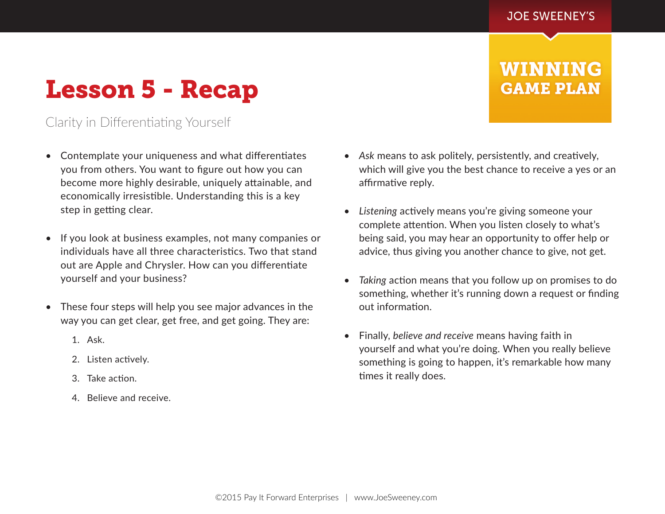**WINNING** 

**GAME PLAN** 

## Lesson 5 - Recap

## Clarity in Differentiating Yourself

- Contemplate your uniqueness and what differentiates you from others. You want to figure out how you can become more highly desirable, uniquely attainable, and economically irresistible. Understanding this is a key step in getting clear.
- If you look at business examples, not many companies or individuals have all three characteristics. Two that stand out are Apple and Chrysler. How can you differentiate yourself and your business?
- These four steps will help you see major advances in the way you can get clear, get free, and get going. They are:
	- 1. Ask.
	- 2. Listen actively.
	- 3. Take action.
	- 4. Believe and receive.
- *Ask* means to ask politely, persistently, and creatively, which will give you the best chance to receive a yes or an affirmative reply.
- *Listening* actively means you're giving someone your complete attention. When you listen closely to what's being said, you may hear an opportunity to offer help or advice, thus giving you another chance to give, not get.
- *Taking* action means that you follow up on promises to do something, whether it's running down a request or finding out information.
- Finally, *believe and receive* means having faith in yourself and what you're doing. When you really believe something is going to happen, it's remarkable how many times it really does.